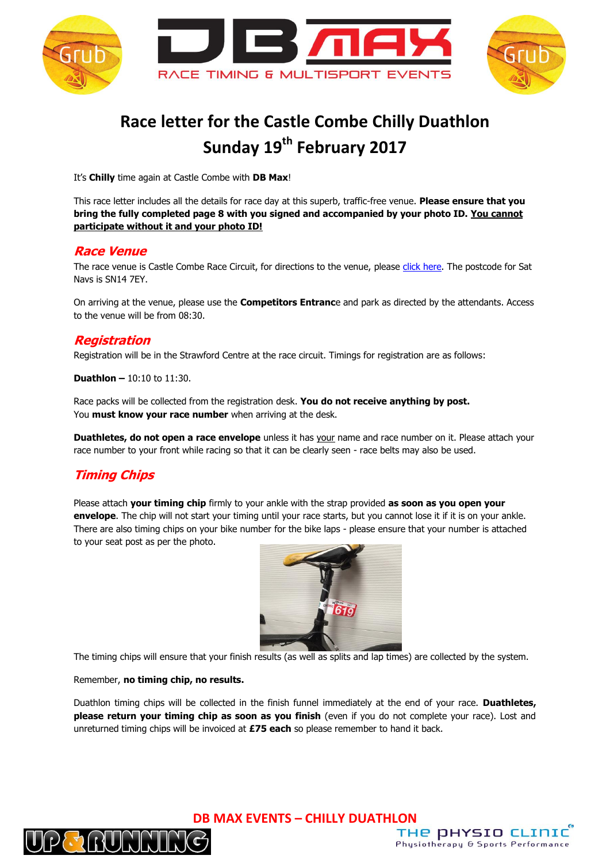

# **Race letter for the Castle Combe Chilly Duathlon Sunday 19th February 2017**

It's **Chilly** time again at Castle Combe with **DB Max**!

This race letter includes all the details for race day at this superb, traffic-free venue. **Please ensure that you bring the fully completed page 8 with you signed and accompanied by your photo ID. You cannot participate without it and your photo ID!**

#### **Race Venue**

The race venue is Castle Combe Race Circuit, for directions to the venue, please [click here.](http://www.castlecombecircuit.co.uk/contact/howtofindus.asp) The postcode for Sat Navs is SN14 7EY.

On arriving at the venue, please use the **Competitors Entranc**e and park as directed by the attendants. Access to the venue will be from 08:30.

#### **Registration**

Registration will be in the Strawford Centre at the race circuit. Timings for registration are as follows:

**Duathlon –** 10:10 to 11:30.

Race packs will be collected from the registration desk. **You do not receive anything by post.** You **must know your race number** when arriving at the desk.

**Duathletes, do not open a race envelope** unless it has your name and race number on it. Please attach your race number to your front while racing so that it can be clearly seen - race belts may also be used.

# **Timing Chips**

Please attach **your timing chip** firmly to your ankle with the strap provided **as soon as you open your envelope**. The chip will not start your timing until your race starts, but you cannot lose it if it is on your ankle. There are also timing chips on your bike number for the bike laps - please ensure that your number is attached to your seat post as per the photo.



The timing chips will ensure that your finish results (as well as splits and lap times) are collected by the system.

#### Remember, **no timing chip, no results.**

Duathlon timing chips will be collected in the finish funnel immediately at the end of your race. **Duathletes, please return your timing chip as soon as you finish** (even if you do not complete your race). Lost and unreturned timing chips will be invoiced at **£75 each** so please remember to hand it back.



**DB MAX EVENTS – CHILLY DUATHLON**

THE DHYSIO CLINIC Physiotherapy & Sports Performance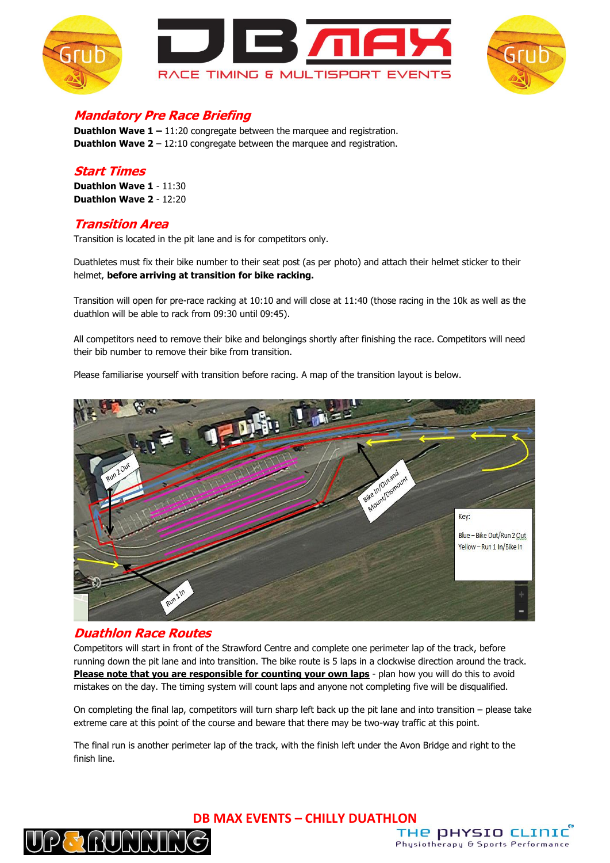



# **Mandatory Pre Race Briefing**

**Duathlon Wave 1 – 11:20** congregate between the marquee and registration. **Duathlon Wave 2** – 12:10 congregate between the marquee and registration.

#### **Start Times**

**Duathlon Wave 1** - 11:30 **Duathlon Wave 2** - 12:20

### **Transition Area**

Transition is located in the pit lane and is for competitors only.

Duathletes must fix their bike number to their seat post (as per photo) and attach their helmet sticker to their helmet, **before arriving at transition for bike racking.**

Transition will open for pre-race racking at 10:10 and will close at 11:40 (those racing in the 10k as well as the duathlon will be able to rack from 09:30 until 09:45).

All competitors need to remove their bike and belongings shortly after finishing the race. Competitors will need their bib number to remove their bike from transition.

Please familiarise yourself with transition before racing. A map of the transition layout is below.



#### **Duathlon Race Routes**

Competitors will start in front of the Strawford Centre and complete one perimeter lap of the track, before running down the pit lane and into transition. The bike route is 5 laps in a clockwise direction around the track. **Please note that you are responsible for counting your own laps** - plan how you will do this to avoid mistakes on the day. The timing system will count laps and anyone not completing five will be disqualified.

On completing the final lap, competitors will turn sharp left back up the pit lane and into transition – please take extreme care at this point of the course and beware that there may be two-way traffic at this point.

The final run is another perimeter lap of the track, with the finish left under the Avon Bridge and right to the finish line.



**DB MAX EVENTS – CHILLY DUATHLON**

THE DHYSIO CLINIC

Physiotherapy & Sports Performance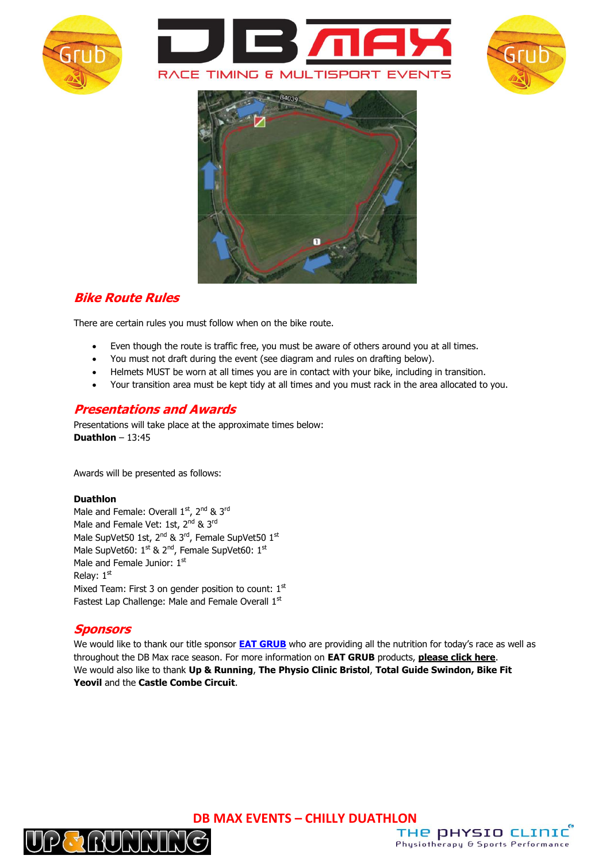







# **Bike Route Rules**

There are certain rules you must follow when on the bike route.

- Even though the route is traffic free, you must be aware of others around you at all times.
- You must not draft during the event (see diagram and rules on drafting below).
- Helmets MUST be worn at all times you are in contact with your bike, including in transition.
- Your transition area must be kept tidy at all times and you must rack in the area allocated to you.

### **Presentations and Awards**

Presentations will take place at the approximate times below: **Duathlon** – 13:45

Awards will be presented as follows:

#### **Duathlon**

Male and Female: Overall 1<sup>st</sup>, 2<sup>nd</sup> & 3<sup>rd</sup> Male and Female Vet: 1st, 2<sup>nd</sup> & 3<sup>rd</sup> Male SupVet50 1st, 2<sup>nd</sup> & 3<sup>rd</sup>, Female SupVet50 1st Male SupVet60: 1st & 2<sup>nd</sup>, Female SupVet60: 1st Male and Female Junior: 1st Relay:  $1<sup>st</sup>$ Mixed Team: First 3 on gender position to count:  $1<sup>st</sup>$ Fastest Lap Challenge: Male and Female Overall 1st

### **Sponsors**

We would like to thank our title sponsor **[EAT GRUB](http://www.eatgrub.co.uk/)** who are providing all the nutrition for today's race as well as throughout the DB Max race season. For more information on **EAT GRUB** products, **[please click here](http://www.eatgrub.co.uk/)**. We would also like to thank **Up & Running**, **The Physio Clinic Bristol**, **Total Guide Swindon, Bike Fit Yeovil** and the **Castle Combe Circuit**.

**DB MAX EVENTS – CHILLY DUATHLON**



THE DHYSIO CLINIC Physiotherapy & Sports Performance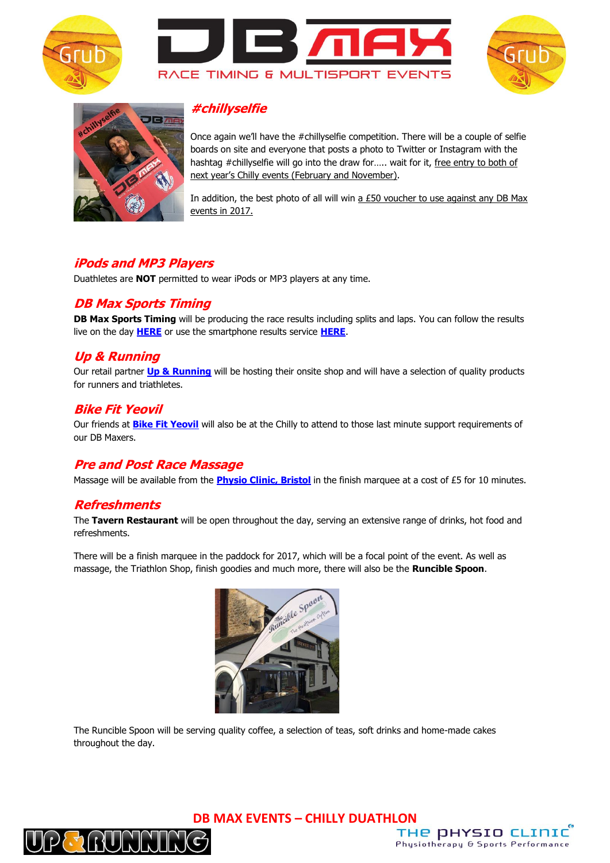







# **#chillyselfie**

Once again we'll have the #chillyselfie competition. There will be a couple of selfie boards on site and everyone that posts a photo to Twitter or Instagram with the hashtag #chillyselfie will go into the draw for..... wait for it, free entry to both of next year's Chilly events (February and November).

In addition, the best photo of all will win  $a$  £50 voucher to use against any DB Max events in 2017.

### **iPods and MP3 Players**

Duathletes are **NOT** permitted to wear iPods or MP3 players at any time.

### **DB Max Sports Timing**

**DB Max Sports Timing** will be producing the race results including splits and laps. You can follow the results live on the day **[HERE](http://dbmaxresults.co.uk/results.aspx?CId=16421&RId=2161)** or use the smartphone results service **[HERE](http://m.racetecresults.com/Search.aspx?R=2974)**.

### **Up & Running**

Our retail partner **[Up & Running](http://www.upandrunning.co.uk/cheltenham)** will be hosting their onsite shop and will have a selection of quality products for runners and triathletes.

### **Bike Fit Yeovil**

Our friends at **[Bike Fit Yeovil](http://www.bikefityeovil.co.uk/index.php)** will also be at the Chilly to attend to those last minute support requirements of our DB Maxers.

# **Pre and Post Race Massage**

Massage will be available from the **[Physio Clinic, Bristol](http://www.thephysioclinicbristol.co.uk/)** in the finish marquee at a cost of £5 for 10 minutes.

### **Refreshments**

The **Tavern Restaurant** will be open throughout the day, serving an extensive range of drinks, hot food and refreshments.

There will be a finish marquee in the paddock for 2017, which will be a focal point of the event. As well as massage, the Triathlon Shop, finish goodies and much more, there will also be the **Runcible Spoon**.



The Runcible Spoon will be serving quality coffee, a selection of teas, soft drinks and home-made cakes throughout the day.



**DB MAX EVENTS – CHILLY DUATHLON**

THE DHYSIO CLINIC

Physiotherapy & Sports Performance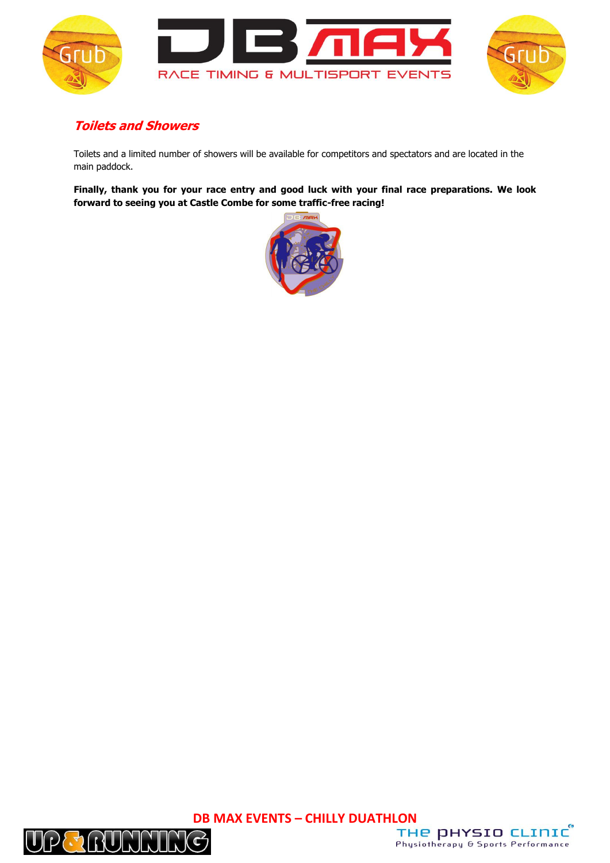



# **Toilets and Showers**

Toilets and a limited number of showers will be available for competitors and spectators and are located in the main paddock.

**Finally, thank you for your race entry and good luck with your final race preparations. We look forward to seeing you at Castle Combe for some traffic-free racing!**





**DB MAX EVENTS – CHILLY DUATHLON** Physiotherapy & Sports Performance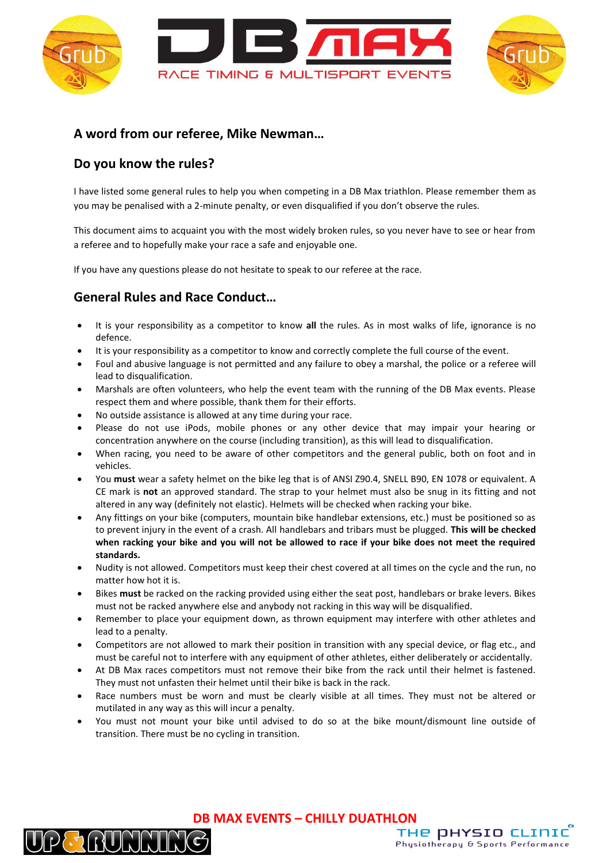



### **A word from our referee, Mike Newman…**

# **Do you know the rules?**

 $\lceil \cdot \rceil$ 

I have listed some general rules to help you when competing in a DB Max triathlon. Please remember them as you may be penalised with a 2-minute penalty, or even disqualified if you don't observe the rules.

This document aims to acquaint you with the most widely broken rules, so you never have to see or hear from a referee and to hopefully make your race a safe and enjoyable one.

If you have any questions please do not hesitate to speak to our referee at the race.

# **General Rules and Race Conduct…**

- It is your responsibility as a competitor to know **all** the rules. As in most walks of life, ignorance is no defence.
- It is your responsibility as a competitor to know and correctly complete the full course of the event.
- Foul and abusive language is not permitted and any failure to obey a marshal, the police or a referee will lead to disqualification.
- Marshals are often volunteers, who help the event team with the running of the DB Max events. Please respect them and where possible, thank them for their efforts.
- No outside assistance is allowed at any time during your race.
- Please do not use iPods, mobile phones or any other device that may impair your hearing or concentration anywhere on the course (including transition), as this will lead to disqualification.
- When racing, you need to be aware of other competitors and the general public, both on foot and in vehicles.
- You **must** wear a safety helmet on the bike leg that is of ANSI Z90.4, SNELL B90, EN 1078 or equivalent. A CE mark is **not** an approved standard. The strap to your helmet must also be snug in its fitting and not altered in any way (definitely not elastic). Helmets will be checked when racking your bike.
- Any fittings on your bike (computers, mountain bike handlebar extensions, etc.) must be positioned so as to prevent injury in the event of a crash. All handlebars and tribars must be plugged. **This will be checked when racking your bike and you will not be allowed to race if your bike does not meet the required standards.**
- Nudity is not allowed. Competitors must keep their chest covered at all times on the cycle and the run, no matter how hot it is.
- Bikes **must** be racked on the racking provided using either the seat post, handlebars or brake levers. Bikes must not be racked anywhere else and anybody not racking in this way will be disqualified.
- Remember to place your equipment down, as thrown equipment may interfere with other athletes and lead to a penalty.
- Competitors are not allowed to mark their position in transition with any special device, or flag etc., and must be careful not to interfere with any equipment of other athletes, either deliberately or accidentally.
- At DB Max races competitors must not remove their bike from the rack until their helmet is fastened. They must not unfasten their helmet until their bike is back in the rack.
- Race numbers must be worn and must be clearly visible at all times. They must not be altered or mutilated in any way as this will incur a penalty.
- You must not mount your bike until advised to do so at the bike mount/dismount line outside of transition. There must be no cycling in transition.

**DB MAX EVENTS – CHILLY DUATHLON**

THE DHYSIO CLINIC

Physiotherapy & Sports Performance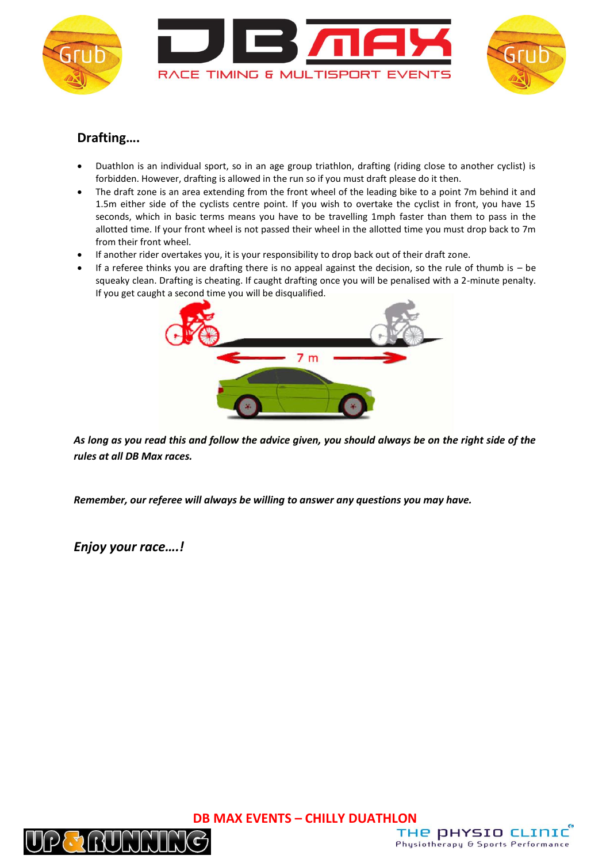



## **Drafting….**

- Duathlon is an individual sport, so in an age group triathlon, drafting (riding close to another cyclist) is forbidden. However, drafting is allowed in the run so if you must draft please do it then.
- The draft zone is an area extending from the front wheel of the leading bike to a point 7m behind it and 1.5m either side of the cyclists centre point. If you wish to overtake the cyclist in front, you have 15 seconds, which in basic terms means you have to be travelling 1mph faster than them to pass in the allotted time. If your front wheel is not passed their wheel in the allotted time you must drop back to 7m from their front wheel.
- If another rider overtakes you, it is your responsibility to drop back out of their draft zone.
- $\bullet$  If a referee thinks you are drafting there is no appeal against the decision, so the rule of thumb is  $-$  be squeaky clean. Drafting is cheating. If caught drafting once you will be penalised with a 2-minute penalty. If you get caught a second time you will be disqualified.



*As long as you read this and follow the advice given, you should always be on the right side of the rules at all DB Max races.*

*Remember, our referee will always be willing to answer any questions you may have.*

*Enjoy your race….!*



**DB MAX EVENTS – CHILLY DUATHLON**